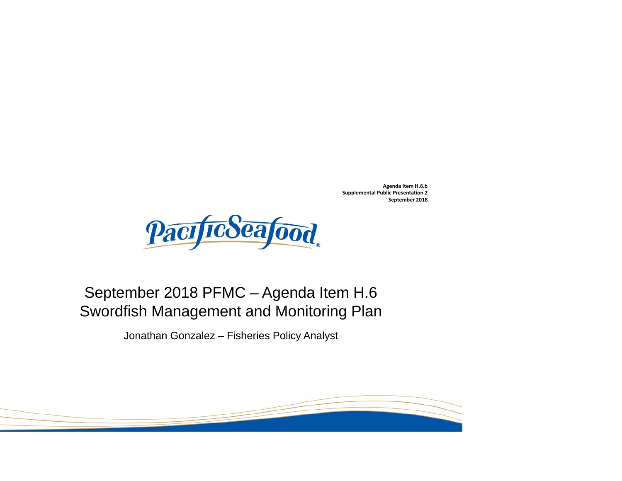**Agenda Item H.6.b Supplemental Public Presentation 2 September 2018**



#### September 2018 PFMC – Agenda Item H.6 Swordfish Management and Monitoring Plan

Jonathan Gonzalez – Fisheries Policy Analyst

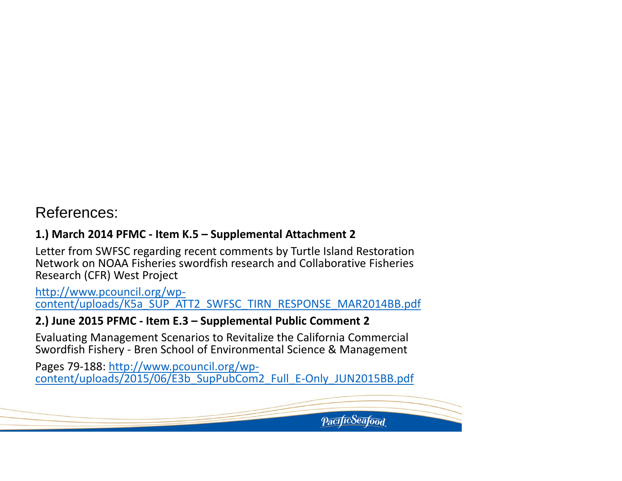#### References:

#### **1.) March 2014 PFMC ‐ Item K.5 – Supplemental Attachment 2**

Letter from SWFSC regarding recent comments by Turtle Island Restoration Network on NOAA Fisheries swordfish research and Collaborative Fisheries Research (CFR) West Project

http://www.pcouncil.org/wp‐ content/uploads/K5a\_SUP\_ATT2\_SWFSC\_TIRN\_RESPONSE\_MAR2014BB.pdf

#### **2.) June 2015 PFMC ‐ Item E.3 – Supplemental Public Comment 2**

Evaluating Management Scenarios to Revitalize the California Commercial Swordfish Fishery ‐ Bren School of Environmental Science & Management

Pages 79-188: <u>http://www.pcouncil.org/wp-</u> content/uploads/2015/06/E3b\_SupPubCom2\_Full\_E‐Only\_JUN2015BB.pdf

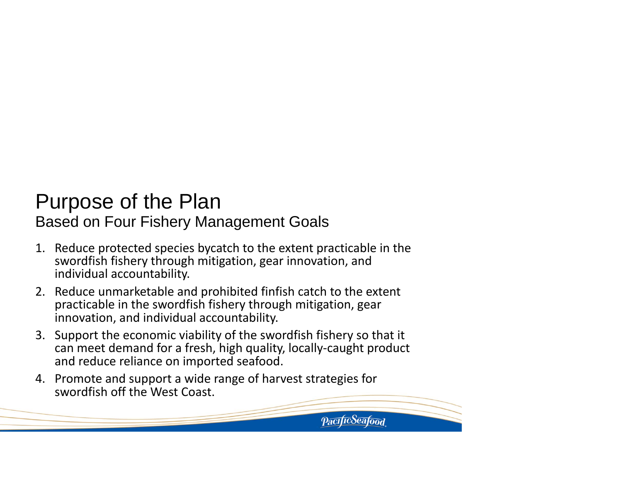#### Purpose of the Plan Based on Four Fishery Management Goals

- 1. Reduce protected species bycatch to the extent practicable in the swordfish fishery through mitigation, gear innovation, and individual accountability.
- 2. Reduce unmarketable and prohibited finfish catch to the extent practicable in the swordfish fishery through mitigation, gear innovation, and individual accountability.
- 3. Support the economic viability of the swordfish fishery so that it can meet demand for <sup>a</sup> fresh, high quality, locally‐caught product and reduce reliance on imported seafood.

*PacificSeafood* 

4. Promote and support <sup>a</sup> wide range of harvest strategies for swordfish off the West Coast.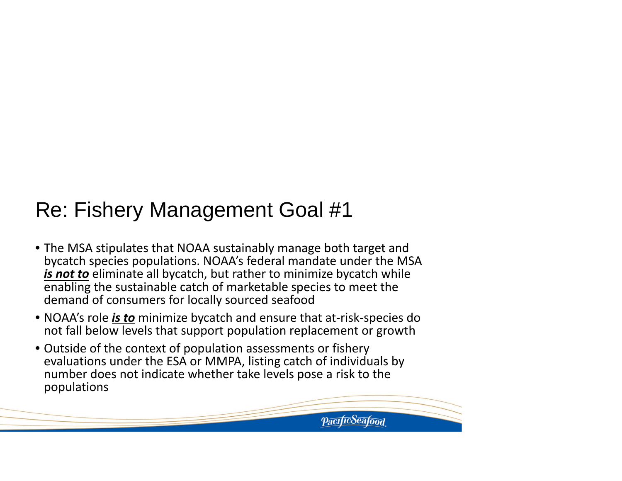- The MSA stipulates that NOAA sustainably manage both target and bycatch species populations. NOAA's federal mandate under the MSA *is not to* eliminate all bycatch, but rather to minimize bycatch while enabling the sustainable catch of marketable species to meet the demand of consumers for locally sourced seafood
- NOAA's role *is to* minimize bycatch and ensure that at‐risk‐species do not fall below levels that support population replacement or growth
- Outside of the context of population assessments or fishery evaluations under the ESA or MMPA, listing catch of individuals by number does not indicate whether take levels pose a risk to the populations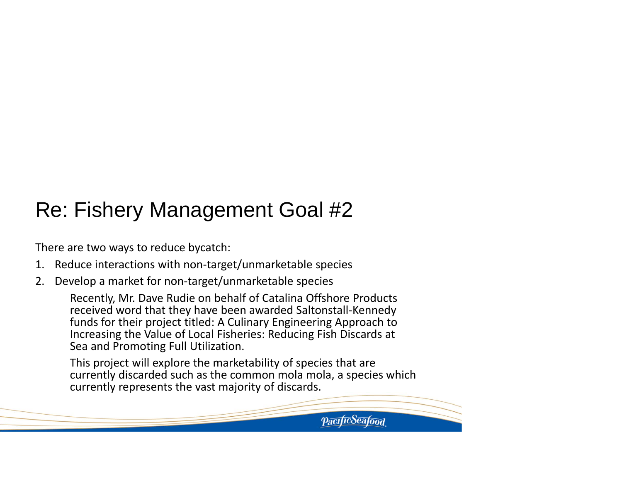There are two ways to reduce bycatch:

- 1. Reduce interactions with non‐target/unmarketable species
- 2. Develop a market for non‐target/unmarketable species

Recently, Mr. Dave Rudie on behalf of Catalina Offshore Products received word that they have been awarded Saltonstall‐Kennedy funds for their project titled: A Culinary Engineering Approach to Increasing the Value of Local Fisheries: Reducing Fish Discards at Sea and Promoting Full Utilization.

This project will explore the marketability of species that are currently discarded such as the common mola mola, a species which currently represents the vast majority of discards.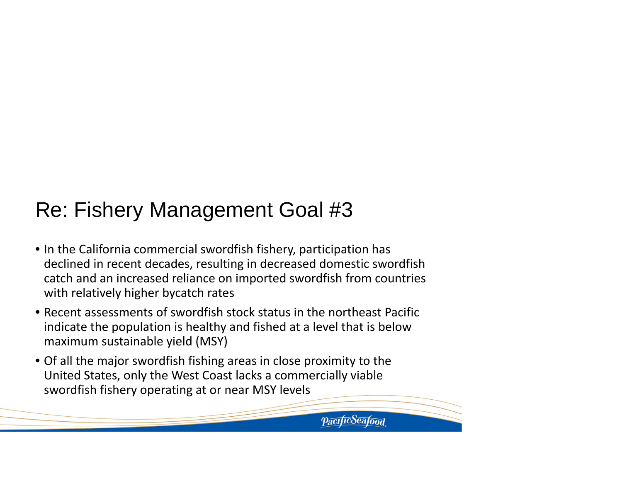- In the California commercial swordfish fishery, participation has declined in recent decades, resulting in decreased domestic swordfish catch and an increased reliance on imported swordfish from countries with relatively higher bycatch rates
- Recent assessments of swordfish stock status in the northeast Pacific indicate the population is healthy and fished at a level that is below maximum sustainable yield (MSY)
- Of all the major swordfish fishing areas in close proximity to the United States, only the West Coast lacks a commercially viable swordfish fishery operating at or near MSY levels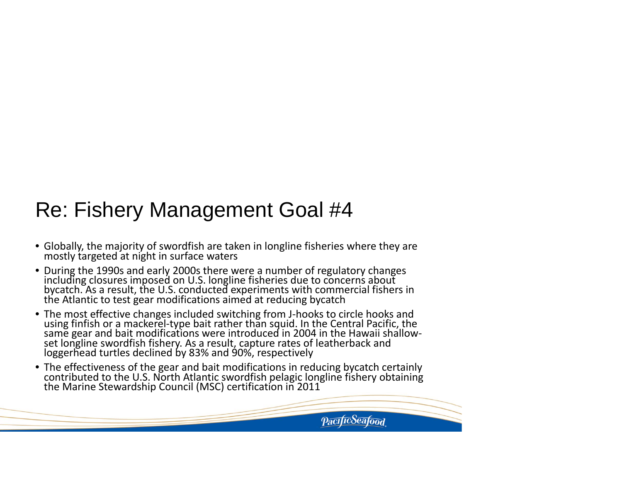- Globally, the majority of swordfish are taken in longline fisheries where they are mostly targeted at night in surface waters
- During the 1990s and early 2000s there were aincluding closures imposed on U.S. longline fisheries due to concerns about bycatch. As a result, the U.S. conducted experiments with commercial fishers in<br>the Atlantic to test gear modifications aimed at reducing bycatch Atlantic to test gear modifications aimed at reducing bycatch
- The most effective changes included switching from J‐hooks to circle hooks and using finfish or a mackerel‐type bait rather than squid. In the Central Pacific, the same gear and bait modifications were introduced in 2004 in the Hawaii shallow‐ set longline swordfish fishery. As a result, capture rates of leatherback and loggerhead turtles declined by 83% and 90%, respectively
- The effectiveness of the gear and bait modifications in reducing bycatch certainly contributedcontributed to the U.S. North Atlantic swordfish pelagic longline fishery obtaining<br>the Marine Stewardship Council (MSC) certification in 2011 Marine Stewardship Council (MSC) certification in 2011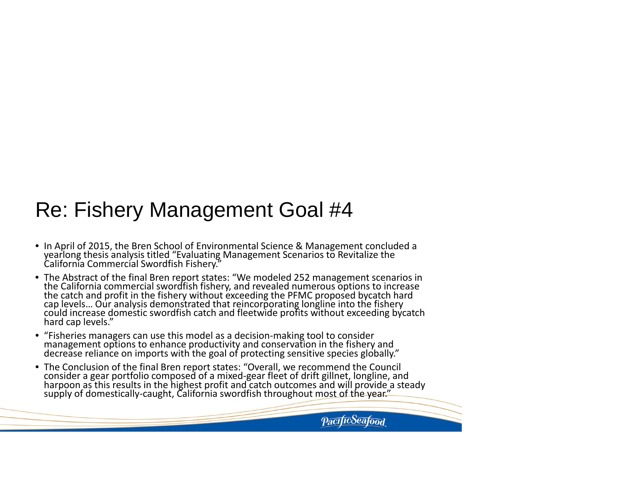- In April of 2015, the Bren School of Environmental Science & Management concluded a yearlong thesis analysis titled "Evaluating Management Scenarios to Revitalize the a Commercial Swordfish Fishery."
- The Abstract of the final BrenThe Abstract of the final Bren report states: "We modeled 252 management scenarios in<br>the California commercial swordfish fishery, and revealed numerous options to increase the California commercial swordfish fishery, and revealed numerous options to increase<br>the catch and profit in the fishery without exceeding the PFMC proposed bycatch hard cap levels... Our analysis demonstrated that reincorporating longline into the fishery could increase domestic swordfish catch and fleetwide profits without exceeding bycatch hard cap levels."
- "Fisheries managers can use this model as a decision‐making tool to consider management options to enhance productivity and conservation in the fishery and reliance on imports with the goal of protecting sensitive species globally."
- The Conclusion of the final Bren report states: "Overall, we recommend the Council consider a gear portfolio composed of aconsider a gear portfolio composed of a mixed-gear fleet of drift gillnet, longline, and<br>harpoon as this results in the highest profit and catch outcomes and will provide a steady<br>supply of domestically-caught, California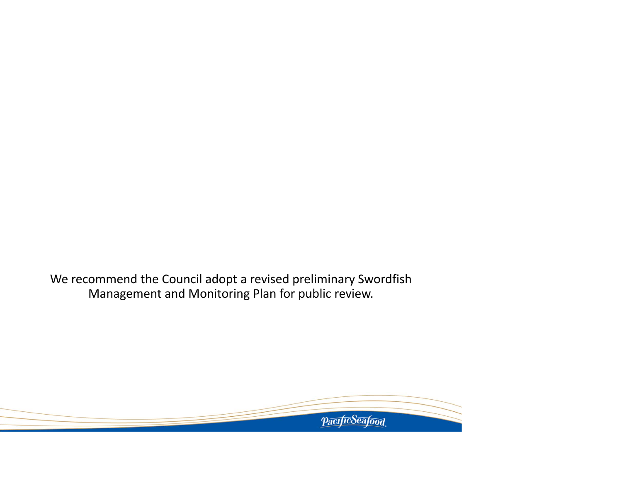We recommend the Council adopt <sup>a</sup> revised preliminary Swordfish Management and Monitoring Plan for public review.